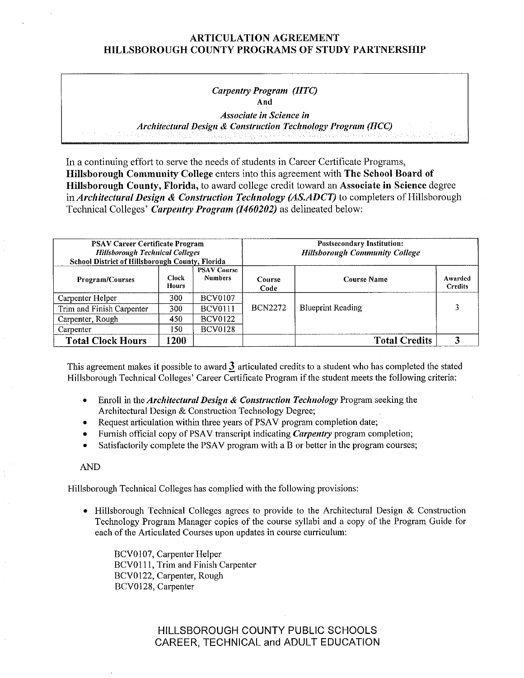#### *Carpentry Program (HTC)*  **And**

*Associate in Science in Architectural Design* & *Construction Technology Program (HCC)* 

In a continuing effort to serve the needs of students in Career Certificate Programs, **Hillsborough Community College** enters into this agreement with **The School Board of Hillsborough County, Florida,** to award college credit toward an **Associate in Science** degree in *Architectural Design* & *Construction Technology (AS.ADCT)* to completers of Hillsborough Technical Colleges' *Carpentry Program (1460202)* as delineated below:

| <b>PSAV Career Certificate Program</b><br><b>Hillsborough Technical Colleges</b><br>School District of Hillsborough County, Florida |                |                                      | <b>Postsecondary Institution:</b><br><b>Hillsborough Community College</b> |                          |                           |  |
|-------------------------------------------------------------------------------------------------------------------------------------|----------------|--------------------------------------|----------------------------------------------------------------------------|--------------------------|---------------------------|--|
| <b>Program/Courses</b>                                                                                                              | Clock<br>Hours | <b>PSAV Course</b><br><b>Numbers</b> | Course<br>Code                                                             | <b>Course Name</b>       | Awarded<br><b>Credits</b> |  |
| Carpenter Helper                                                                                                                    | 300            | <b>BCV0107</b>                       |                                                                            |                          |                           |  |
| Trim and Finish Carpenter                                                                                                           | 300            | <b>BCV0111</b>                       | <b>BCN2272</b>                                                             | <b>Blueprint Reading</b> |                           |  |
| Carpenter, Rough                                                                                                                    | 450            | <b>BCV0122</b>                       |                                                                            |                          |                           |  |
| Carpenter                                                                                                                           | 150            | <b>BCV0128</b>                       |                                                                            |                          |                           |  |
| <b>Total Clock Hours</b>                                                                                                            | 1200           |                                      |                                                                            | <b>Total Credits</b>     |                           |  |

This agreement makes it possible to award **J**articulated credits to a student who has completed the stated Hillsborough Technical Colleges' Career Certificate Program if the student meets the following criteria:

- Enroll in the *Architectural Design & Construction Technology* Program seeking the Architectural Design & Construction Technology Degree;
- Request articulation within three years of PSAV program completion date;
- Furnish official copy of PSA V transcript indicating *Carpentry* program completion;
- Satisfactorily complete the PSAV program with a B or better in the program courses;

AND

Hillsborough Technical Colleges has complied with the following provisions:

• Hillsborough Technical Colleges agrees to provide to the Architectural Design & Construction Technology Program Manager copies of the course syllabi and a copy of the Program Guide for each of the Articulated Courses upon updates in course curriculum:

BCV0107, Carpenter Helper BCVOl 11, Trim and Finish Carpenter BCV0122, Carpenter, Rough BCV0128, Carpenter

> HILLSBOROUGH COUNTY PUBLIC SCHOOLS CAREER, TECHNICAL and ADULT EDUCATION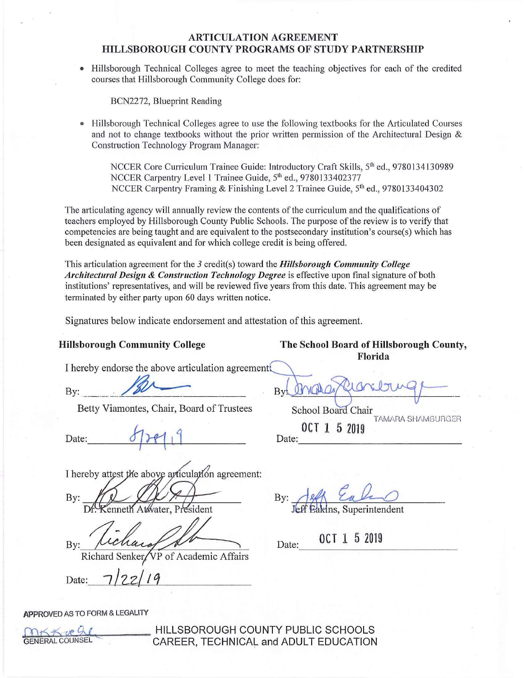• Hillsborough Technical Colleges agree to meet the teaching objectives for each of the credited courses that Hillsborough Community College does for:

BCN2272, Blueprint Reading

Hillsborough Technical Colleges agree to use the following textbooks for the Articulated Courses and not to change textbooks without the prior written pennission of the Architectural Design & Construction Technology Program Manager:

NCCER Core Curriculum Trainee Guide: Introductory Craft Skills, 5<sup>th</sup> ed., 9780134130989 NCCER Carpentry Level 1 Trainee Guide, 5<sup>th</sup> ed., 9780133402377 NCCER Carpentry Framing & Finishing Level 2 Trainee Guide, 5<sup>th</sup> ed., 9780133404302

The articulating agency will annually review the contents of the curriculum and the qualifications of teachers employed by Hillsborough County Public Schools. The purpose ofthe review is to verify that competencies are being taught and are equivalent to the postsecondary institution's course(s) which has been designated as equivalent and for which college credit is being offered.

This articulation agreement for the 3 credit(s) toward the *Hillsborough Community College Architectural Design & Construction Technology Degree* is effective upon final signature of both institutions' representatives, and will be reviewed five years from this date. This agreement may be terminated by either party upon 60 days written notice.

Signatures below indicate endorsement and attestation of this agreement.

I hereby endorse the above articulation agreement

Betty Viamontes, Chair, Board of Trustees School Board Chair

Date: f requires being via months. Chain, Board of Trustees Sec.

I hereby attest the above articulation agreement:

By: enneth Atwater, President

By:

VP of Academic Affairs Richard

Date:

**APPROVED** AS TO FORM & LEGALITY



**ORKX UP ALLESBOROUGH COUNTY PUBLIC SCHOOLS**<br>GENERAL COUNSEL CAREER TECHNICAL and ADULT FOLICATION CAREER, TECHNICAL and ADULT EDUCATION

**Hillsborough Community College The School Board of Hillsborough County, Florida** 

By: \_\_\_~&- · **By~~'==** 

0CT 1 5 2019 TAMARA SHAMBURGER

By: Jeff Eakins, Superintendent

0CT 1 5 2019 Date: 0CT 1 5 2019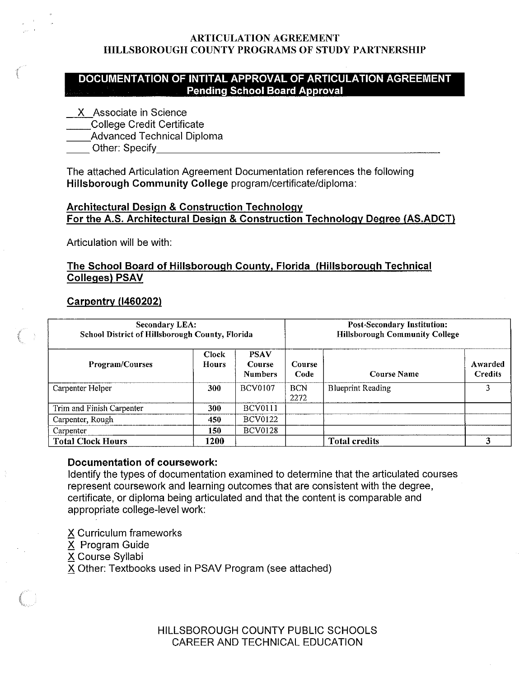# **DOCUMENTATION OF INTITAL APPROVAL OF ARTICULATION AGREEMENT Pending School Board Approval**

- X Associate in Science
- \_\_College Credit Certificate
- Advanced Technical Diploma
- Other: Specify

The attached Articulation Agreement Documentation references the following **Hillsborough Community College** program/certificate/diploma:

# **Architectural Design** & **Construction Technology For the A.S. Architectural Design & Construction Technology Degree (AS.ADCT)**

Articulation will be with:

# **The School Board of Hillsborough County, Florida (Hillsborough Technical Colleges) PSAV**

# **Carpentry (1460202)**

| <b>Secondary LEA:</b><br>School District of Hillsborough County, Florida |                              |                                         |                       | <b>Post-Secondary Institution:</b><br><b>Hillsborough Community College</b> |                           |  |
|--------------------------------------------------------------------------|------------------------------|-----------------------------------------|-----------------------|-----------------------------------------------------------------------------|---------------------------|--|
| Program/Courses                                                          | <b>Clock</b><br><b>Hours</b> | <b>PSAV</b><br>Course<br><b>Numbers</b> | <b>Course</b><br>Code | <b>Course Name</b>                                                          | Awarded<br><b>Credits</b> |  |
| Carpenter Helper                                                         | 300                          | <b>BCV0107</b>                          | <b>BCN</b><br>2272    | <b>Blueprint Reading</b>                                                    |                           |  |
| Trim and Finish Carpenter                                                | 300                          | <b>BCV0111</b>                          |                       |                                                                             |                           |  |
| Carpenter, Rough                                                         | 450                          | <b>BCV0122</b>                          |                       |                                                                             |                           |  |
| Carpenter                                                                | 150                          | <b>BCV0128</b>                          |                       |                                                                             |                           |  |
| <b>Total Clock Hours</b>                                                 | 1200.                        |                                         |                       | <b>Total credits</b>                                                        | 3                         |  |

# **Documentation of coursework:**

Identify the types of documentation examined to determine that the articulated courses represent coursework and learning outcomes that are consistent with the degree, certificate, or diploma being articulated and that the content is comparable and appropriate college-level work:

- *2S* Curriculum frameworks
- X Program Guide
- X Course Syllabi
- X Other: Textbooks used in PSAV Program (see attached)

HILLSBOROUGH COUNTY PUBLIC SCHOOLS CAREER AND TECHNICAL EDUCATION